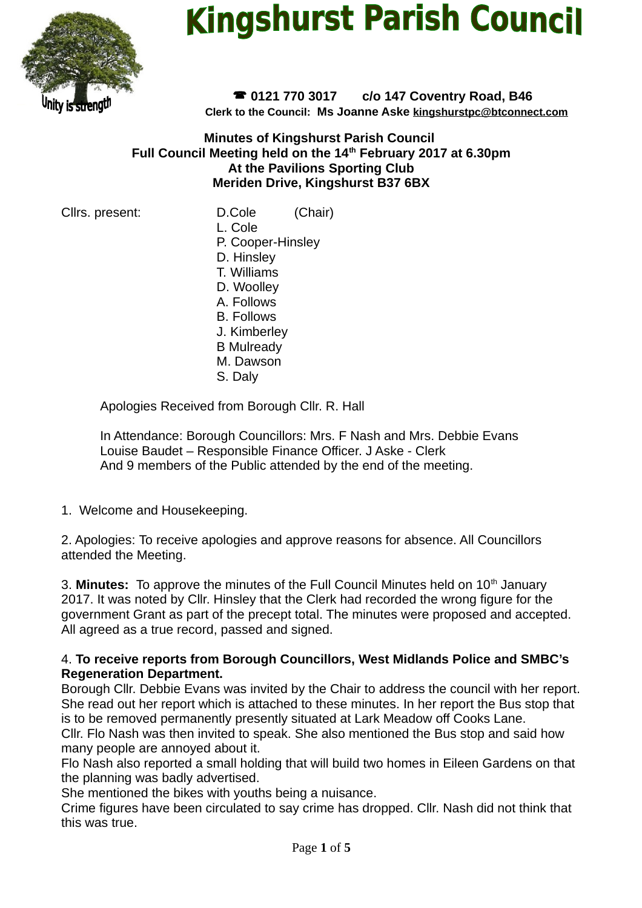

# **Kingshurst Parish Council**

 **0121 770 3017 c/o 147 Coventry Road, B46 Clerk to the Council: Ms Joanne Aske [kingshurstpc@btconnect.com](mailto:kingshurstpc@btconnect.com)**

**Minutes of Kingshurst Parish Council Full Council Meeting held on the 14th February 2017 at 6.30pm At the Pavilions Sporting Club Meriden Drive, Kingshurst B37 6BX**

Cllrs. present: D.Cole (Chair)

L. Cole P. Cooper-Hinsley

D. Hinsley T. Williams

D. Woolley

A. Follows

- B. Follows
- J. Kimberley
- B Mulready
- M. Dawson
- S. Daly

Apologies Received from Borough Cllr. R. Hall

In Attendance: Borough Councillors: Mrs. F Nash and Mrs. Debbie Evans Louise Baudet – Responsible Finance Officer. J Aske - Clerk And 9 members of the Public attended by the end of the meeting.

1. Welcome and Housekeeping.

2. Apologies: To receive apologies and approve reasons for absence. All Councillors attended the Meeting.

3. Minutes: To approve the minutes of the Full Council Minutes held on 10<sup>th</sup> January 2017. It was noted by Cllr. Hinsley that the Clerk had recorded the wrong figure for the government Grant as part of the precept total. The minutes were proposed and accepted. All agreed as a true record, passed and signed.

## 4. **To receive reports from Borough Councillors, West Midlands Police and SMBC's Regeneration Department.**

Borough Cllr. Debbie Evans was invited by the Chair to address the council with her report. She read out her report which is attached to these minutes. In her report the Bus stop that is to be removed permanently presently situated at Lark Meadow off Cooks Lane.

Cllr. Flo Nash was then invited to speak. She also mentioned the Bus stop and said how many people are annoyed about it.

Flo Nash also reported a small holding that will build two homes in Eileen Gardens on that the planning was badly advertised.

She mentioned the bikes with youths being a nuisance.

Crime figures have been circulated to say crime has dropped. Cllr. Nash did not think that this was true.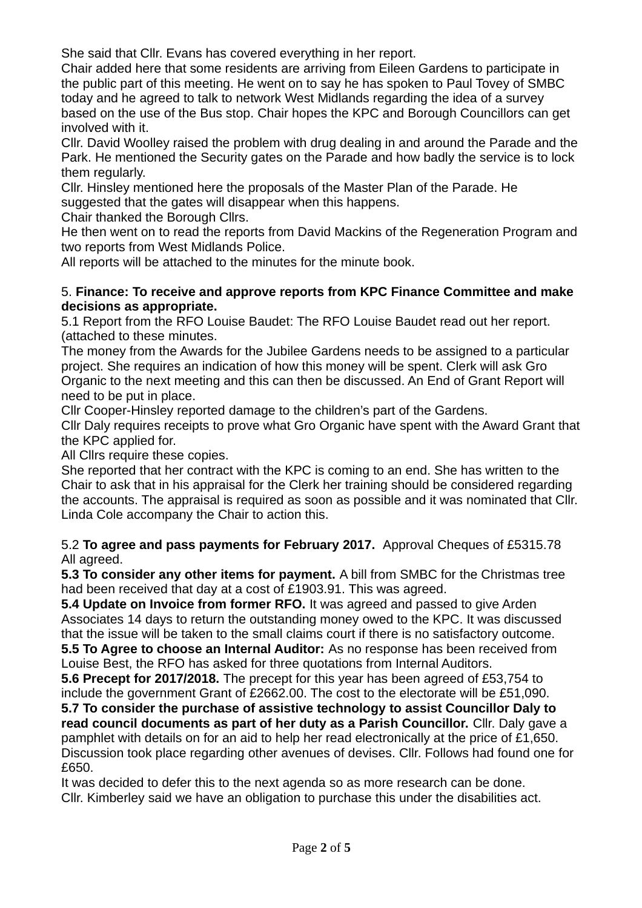She said that Cllr. Evans has covered everything in her report.

Chair added here that some residents are arriving from Eileen Gardens to participate in the public part of this meeting. He went on to say he has spoken to Paul Tovey of SMBC today and he agreed to talk to network West Midlands regarding the idea of a survey based on the use of the Bus stop. Chair hopes the KPC and Borough Councillors can get involved with it.

Cllr. David Woolley raised the problem with drug dealing in and around the Parade and the Park. He mentioned the Security gates on the Parade and how badly the service is to lock them regularly.

Cllr. Hinsley mentioned here the proposals of the Master Plan of the Parade. He suggested that the gates will disappear when this happens.

Chair thanked the Borough Cllrs.

He then went on to read the reports from David Mackins of the Regeneration Program and two reports from West Midlands Police.

All reports will be attached to the minutes for the minute book.

### 5. **Finance: To receive and approve reports from KPC Finance Committee and make decisions as appropriate.**

5.1 Report from the RFO Louise Baudet: The RFO Louise Baudet read out her report. (attached to these minutes.

The money from the Awards for the Jubilee Gardens needs to be assigned to a particular project. She requires an indication of how this money will be spent. Clerk will ask Gro Organic to the next meeting and this can then be discussed. An End of Grant Report will need to be put in place.

Cllr Cooper-Hinsley reported damage to the children's part of the Gardens.

Cllr Daly requires receipts to prove what Gro Organic have spent with the Award Grant that the KPC applied for.

All Cllrs require these copies.

She reported that her contract with the KPC is coming to an end. She has written to the Chair to ask that in his appraisal for the Clerk her training should be considered regarding the accounts. The appraisal is required as soon as possible and it was nominated that Cllr. Linda Cole accompany the Chair to action this.

5.2 **To agree and pass payments for February 2017.** Approval Cheques of £5315.78 All agreed.

**5.3 To consider any other items for payment.** A bill from SMBC for the Christmas tree had been received that day at a cost of £1903.91. This was agreed.

**5.4 Update on Invoice from former RFO.** It was agreed and passed to give Arden Associates 14 days to return the outstanding money owed to the KPC. It was discussed that the issue will be taken to the small claims court if there is no satisfactory outcome. **5.5 To Agree to choose an Internal Auditor:** As no response has been received from

Louise Best, the RFO has asked for three quotations from Internal Auditors. **5.6 Precept for 2017/2018.** The precept for this year has been agreed of £53,754 to

include the government Grant of £2662.00. The cost to the electorate will be £51,090.

**5.7 To consider the purchase of assistive technology to assist Councillor Daly to read council documents as part of her duty as a Parish Councillor.** Cllr. Daly gave a pamphlet with details on for an aid to help her read electronically at the price of £1,650. Discussion took place regarding other avenues of devises. Cllr. Follows had found one for £650.

It was decided to defer this to the next agenda so as more research can be done. Cllr. Kimberley said we have an obligation to purchase this under the disabilities act.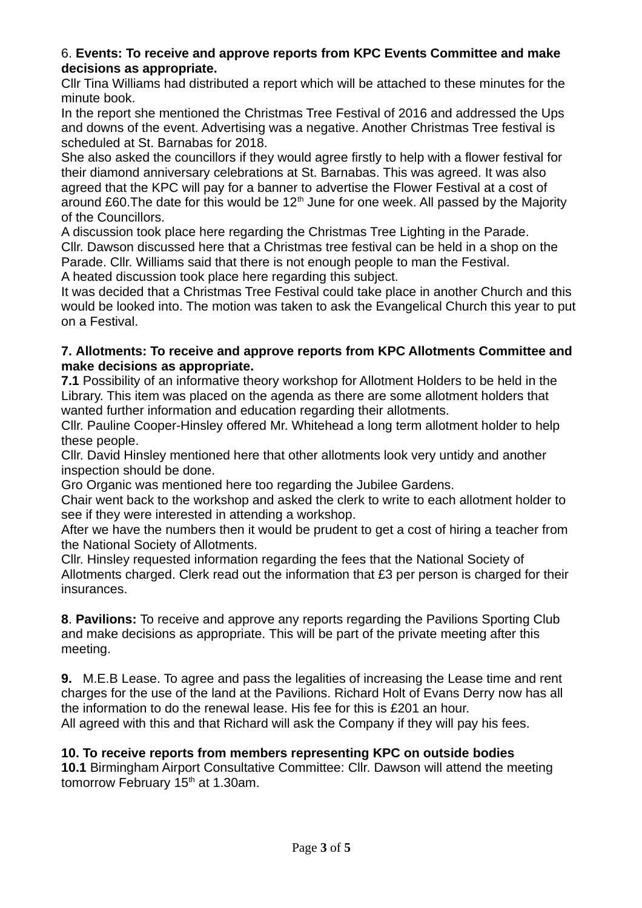## 6. **Events: To receive and approve reports from KPC Events Committee and make decisions as appropriate.**

Cllr Tina Williams had distributed a report which will be attached to these minutes for the minute book.

In the report she mentioned the Christmas Tree Festival of 2016 and addressed the Ups and downs of the event. Advertising was a negative. Another Christmas Tree festival is scheduled at St. Barnabas for 2018.

She also asked the councillors if they would agree firstly to help with a flower festival for their diamond anniversary celebrations at St. Barnabas. This was agreed. It was also agreed that the KPC will pay for a banner to advertise the Flower Festival at a cost of around £60. The date for this would be  $12<sup>th</sup>$  June for one week. All passed by the Majority of the Councillors.

A discussion took place here regarding the Christmas Tree Lighting in the Parade. Cllr. Dawson discussed here that a Christmas tree festival can be held in a shop on the Parade. Cllr. Williams said that there is not enough people to man the Festival. A heated discussion took place here regarding this subject.

It was decided that a Christmas Tree Festival could take place in another Church and this would be looked into. The motion was taken to ask the Evangelical Church this year to put on a Festival.

## **7. Allotments: To receive and approve reports from KPC Allotments Committee and make decisions as appropriate.**

**7.1** Possibility of an informative theory workshop for Allotment Holders to be held in the Library. This item was placed on the agenda as there are some allotment holders that wanted further information and education regarding their allotments.

Cllr. Pauline Cooper-Hinsley offered Mr. Whitehead a long term allotment holder to help these people.

Cllr. David Hinsley mentioned here that other allotments look very untidy and another inspection should be done.

Gro Organic was mentioned here too regarding the Jubilee Gardens.

Chair went back to the workshop and asked the clerk to write to each allotment holder to see if they were interested in attending a workshop.

After we have the numbers then it would be prudent to get a cost of hiring a teacher from the National Society of Allotments.

Cllr. Hinsley requested information regarding the fees that the National Society of Allotments charged. Clerk read out the information that £3 per person is charged for their insurances.

**8**. **Pavilions:** To receive and approve any reports regarding the Pavilions Sporting Club and make decisions as appropriate. This will be part of the private meeting after this meeting.

**9.** M.E.B Lease. To agree and pass the legalities of increasing the Lease time and rent charges for the use of the land at the Pavilions. Richard Holt of Evans Derry now has all the information to do the renewal lease. His fee for this is £201 an hour. All agreed with this and that Richard will ask the Company if they will pay his fees.

## **10. To receive reports from members representing KPC on outside bodies**

**10.1** Birmingham Airport Consultative Committee: Cllr. Dawson will attend the meeting tomorrow February  $15<sup>th</sup>$  at 1.30am.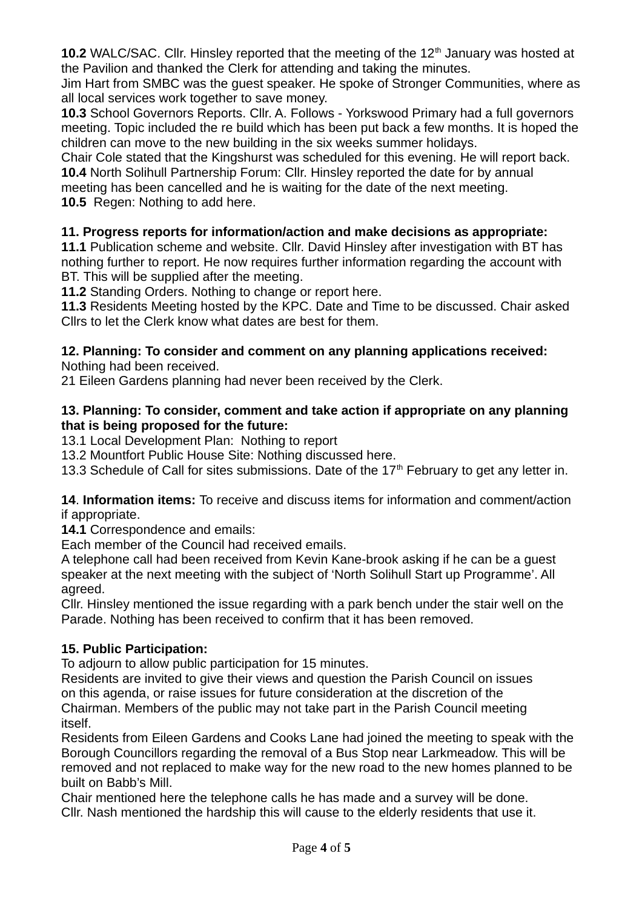**10.2** WALC/SAC. Cllr. Hinsley reported that the meeting of the 12<sup>th</sup> January was hosted at the Pavilion and thanked the Clerk for attending and taking the minutes.

Jim Hart from SMBC was the guest speaker. He spoke of Stronger Communities, where as all local services work together to save money.

**10.3** School Governors Reports. Cllr. A. Follows - Yorkswood Primary had a full governors meeting. Topic included the re build which has been put back a few months. It is hoped the children can move to the new building in the six weeks summer holidays.

Chair Cole stated that the Kingshurst was scheduled for this evening. He will report back. **10.4** North Solihull Partnership Forum: Cllr. Hinsley reported the date for by annual meeting has been cancelled and he is waiting for the date of the next meeting.

**10.5** Regen: Nothing to add here.

## **11. Progress reports for information/action and make decisions as appropriate:**

11.1 Publication scheme and website. Cllr. David Hinsley after investigation with BT has nothing further to report. He now requires further information regarding the account with BT. This will be supplied after the meeting.

**11.2** Standing Orders. Nothing to change or report here.

**11.3** Residents Meeting hosted by the KPC. Date and Time to be discussed. Chair asked Cllrs to let the Clerk know what dates are best for them.

## **12. Planning: To consider and comment on any planning applications received:**

Nothing had been received.

21 Eileen Gardens planning had never been received by the Clerk.

## **13. Planning: To consider, comment and take action if appropriate on any planning that is being proposed for the future:**

13.1 Local Development Plan: Nothing to report

13.2 Mountfort Public House Site: Nothing discussed here.

13.3 Schedule of Call for sites submissions. Date of the  $17<sup>th</sup>$  February to get any letter in.

**14**. **Information items:** To receive and discuss items for information and comment/action if appropriate.

**14.1** Correspondence and emails:

Each member of the Council had received emails.

A telephone call had been received from Kevin Kane-brook asking if he can be a guest speaker at the next meeting with the subject of 'North Solihull Start up Programme'. All agreed.

Cllr. Hinsley mentioned the issue regarding with a park bench under the stair well on the Parade. Nothing has been received to confirm that it has been removed.

## **15. Public Participation:**

To adjourn to allow public participation for 15 minutes.

Residents are invited to give their views and question the Parish Council on issues on this agenda, or raise issues for future consideration at the discretion of the Chairman. Members of the public may not take part in the Parish Council meeting itself.

Residents from Eileen Gardens and Cooks Lane had joined the meeting to speak with the Borough Councillors regarding the removal of a Bus Stop near Larkmeadow. This will be removed and not replaced to make way for the new road to the new homes planned to be built on Babb's Mill.

Chair mentioned here the telephone calls he has made and a survey will be done. Cllr. Nash mentioned the hardship this will cause to the elderly residents that use it.